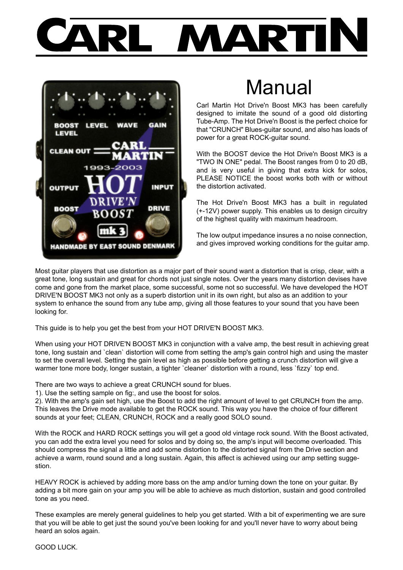

# Manual

Carl Martin Hot Drive'n Boost MK3 has been carefully designed to imitate the sound of a good old distorting Tube-Amp. The Hot Drive'n Boost is the perfect choice for that "CRUNCH" Blues-guitar sound, and also has loads of power for a great ROCK-guitar sound.

With the BOOST device the Hot Drive'n Boost MK3 is a "TWO IN ONE" pedal. The Boost ranges from 0 to 20 dB, and is very useful in giving that extra kick for solos, PLEASE NOTICE the boost works both with or without the distortion activated.

The Hot Drive'n Boost MK3 has a built in regulated (+-12V) power supply. This enables us to design circuitry of the highest quality with maximum headroom.

The low output impedance insures a no noise connection, and gives improved working conditions for the guitar amp.

Most guitar players that use distortion as a major part of their sound want a distortion that is crisp, clear, with a great tone, long sustain and great for chords not just single notes. Over the years many distortion devises have come and gone from the market place, some successful, some not so successful. We have developed the HOT DRIVE'N BOOST MK3 not only as a superb distortion unit in its own right, but also as an addition to your system to enhance the sound from any tube amp, giving all those features to your sound that you have been looking for.

This guide is to help you get the best from your HOT DRIVE'N BOOST MK3.

When using your HOT DRIVE'N BOOST MK3 in conjunction with a valve amp, the best result in achieving great tone, long sustain and `clean` distortion will come from setting the amp's gain control high and using the master to set the overall level. Setting the gain level as high as possible before getting a crunch distortion will give a warmer tone more body, longer sustain, a tighter `cleaner` distortion with a round, less `fizzy` top end.

There are two ways to achieve a great CRUNCH sound for blues.

1). Use the setting sample on fig:, and use the boost for solos.

2). With the amp's gain set high, use the Boost to add the right amount of level to get CRUNCH from the amp. This leaves the Drive mode available to get the ROCK sound. This way you have the choice of four different sounds at your feet; CLEAN, CRUNCH, ROCK and a really good SOLO sound.

With the ROCK and HARD ROCK settings you will get a good old vintage rock sound. With the Boost activated, you can add the extra level you need for solos and by doing so, the amp's input will become overloaded. This should compress the signal a little and add some distortion to the distorted signal from the Drive section and achieve a warm, round sound and a long sustain. Again, this affect is achieved using our amp setting suggestion.

HEAVY ROCK is achieved by adding more bass on the amp and/or turning down the tone on your guitar. By adding a bit more gain on your amp you will be able to achieve as much distortion, sustain and good controlled tone as you need.

These examples are merely general guidelines to help you get started. With a bit of experimenting we are sure that you will be able to get just the sound you've been looking for and you'll never have to worry about being heard an solos again.